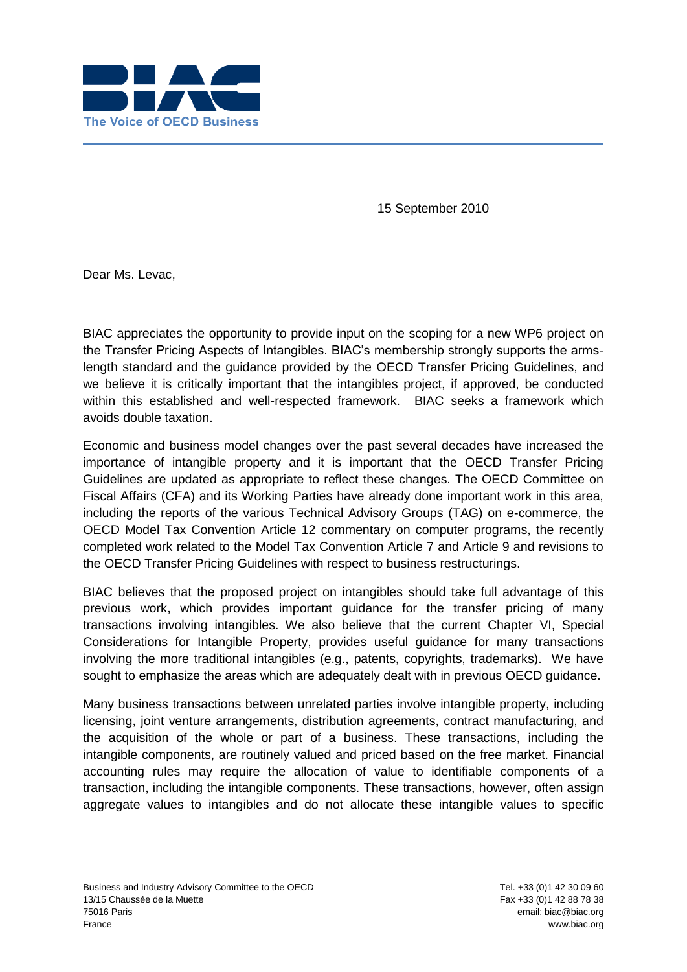

15 September 2010

Dear Ms. Levac,

BIAC appreciates the opportunity to provide input on the scoping for a new WP6 project on the Transfer Pricing Aspects of Intangibles. BIAC's membership strongly supports the armslength standard and the guidance provided by the OECD Transfer Pricing Guidelines, and we believe it is critically important that the intangibles project, if approved, be conducted within this established and well-respected framework. BIAC seeks a framework which avoids double taxation.

Economic and business model changes over the past several decades have increased the importance of intangible property and it is important that the OECD Transfer Pricing Guidelines are updated as appropriate to reflect these changes. The OECD Committee on Fiscal Affairs (CFA) and its Working Parties have already done important work in this area, including the reports of the various Technical Advisory Groups (TAG) on e-commerce, the OECD Model Tax Convention Article 12 commentary on computer programs, the recently completed work related to the Model Tax Convention Article 7 and Article 9 and revisions to the OECD Transfer Pricing Guidelines with respect to business restructurings.

BIAC believes that the proposed project on intangibles should take full advantage of this previous work, which provides important guidance for the transfer pricing of many transactions involving intangibles. We also believe that the current Chapter VI, Special Considerations for Intangible Property, provides useful guidance for many transactions involving the more traditional intangibles (e.g., patents, copyrights, trademarks). We have sought to emphasize the areas which are adequately dealt with in previous OECD guidance.

Many business transactions between unrelated parties involve intangible property, including licensing, joint venture arrangements, distribution agreements, contract manufacturing, and the acquisition of the whole or part of a business. These transactions, including the intangible components, are routinely valued and priced based on the free market. Financial accounting rules may require the allocation of value to identifiable components of a transaction, including the intangible components. These transactions, however, often assign aggregate values to intangibles and do not allocate these intangible values to specific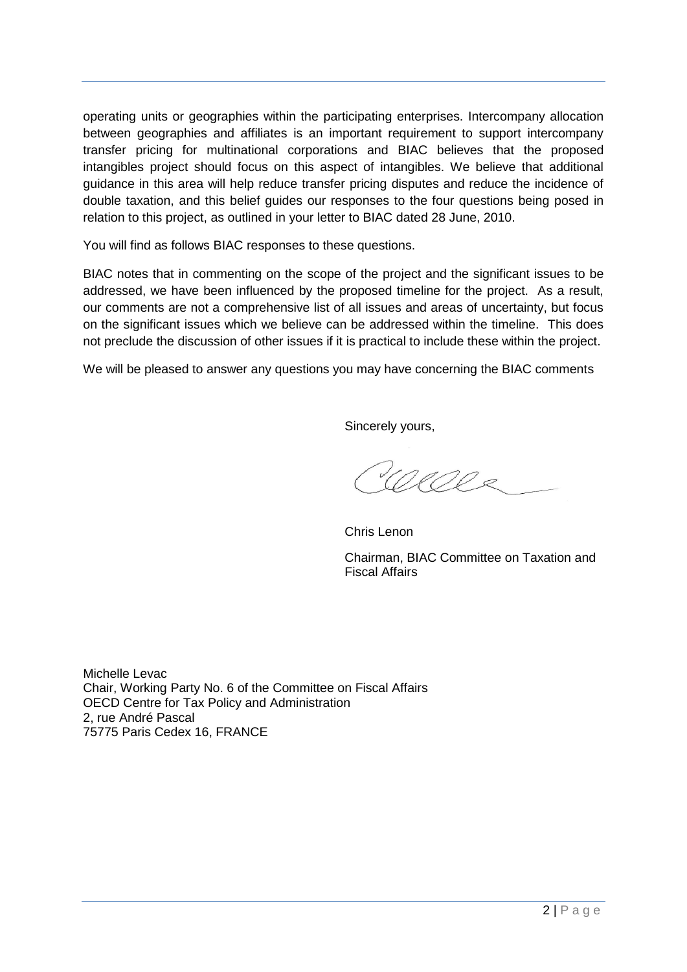operating units or geographies within the participating enterprises. Intercompany allocation between geographies and affiliates is an important requirement to support intercompany transfer pricing for multinational corporations and BIAC believes that the proposed intangibles project should focus on this aspect of intangibles. We believe that additional guidance in this area will help reduce transfer pricing disputes and reduce the incidence of double taxation, and this belief guides our responses to the four questions being posed in relation to this project, as outlined in your letter to BIAC dated 28 June, 2010.

You will find as follows BIAC responses to these questions.

BIAC notes that in commenting on the scope of the project and the significant issues to be addressed, we have been influenced by the proposed timeline for the project. As a result, our comments are not a comprehensive list of all issues and areas of uncertainty, but focus on the significant issues which we believe can be addressed within the timeline. This does not preclude the discussion of other issues if it is practical to include these within the project.

We will be pleased to answer any questions you may have concerning the BIAC comments

Sincerely yours,

Wells

Chris Lenon Chairman, BIAC Committee on Taxation and Fiscal Affairs

Michelle Levac Chair, Working Party No. 6 of the Committee on Fiscal Affairs OECD Centre for Tax Policy and Administration 2, rue André Pascal 75775 Paris Cedex 16, FRANCE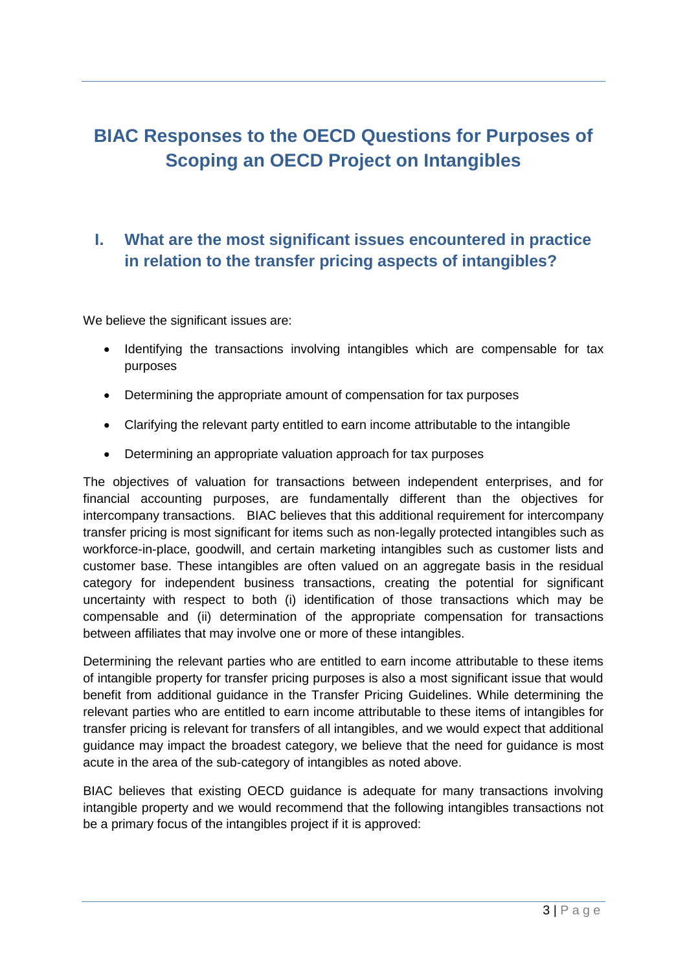# **BIAC Responses to the OECD Questions for Purposes of Scoping an OECD Project on Intangibles**

## **I. What are the most significant issues encountered in practice in relation to the transfer pricing aspects of intangibles?**

We believe the significant issues are:

- Identifying the transactions involving intangibles which are compensable for tax purposes
- Determining the appropriate amount of compensation for tax purposes
- Clarifying the relevant party entitled to earn income attributable to the intangible
- Determining an appropriate valuation approach for tax purposes

The objectives of valuation for transactions between independent enterprises, and for financial accounting purposes, are fundamentally different than the objectives for intercompany transactions. BIAC believes that this additional requirement for intercompany transfer pricing is most significant for items such as non-legally protected intangibles such as workforce-in-place, goodwill, and certain marketing intangibles such as customer lists and customer base. These intangibles are often valued on an aggregate basis in the residual category for independent business transactions, creating the potential for significant uncertainty with respect to both (i) identification of those transactions which may be compensable and (ii) determination of the appropriate compensation for transactions between affiliates that may involve one or more of these intangibles.

Determining the relevant parties who are entitled to earn income attributable to these items of intangible property for transfer pricing purposes is also a most significant issue that would benefit from additional guidance in the Transfer Pricing Guidelines. While determining the relevant parties who are entitled to earn income attributable to these items of intangibles for transfer pricing is relevant for transfers of all intangibles, and we would expect that additional guidance may impact the broadest category, we believe that the need for guidance is most acute in the area of the sub-category of intangibles as noted above.

BIAC believes that existing OECD guidance is adequate for many transactions involving intangible property and we would recommend that the following intangibles transactions not be a primary focus of the intangibles project if it is approved: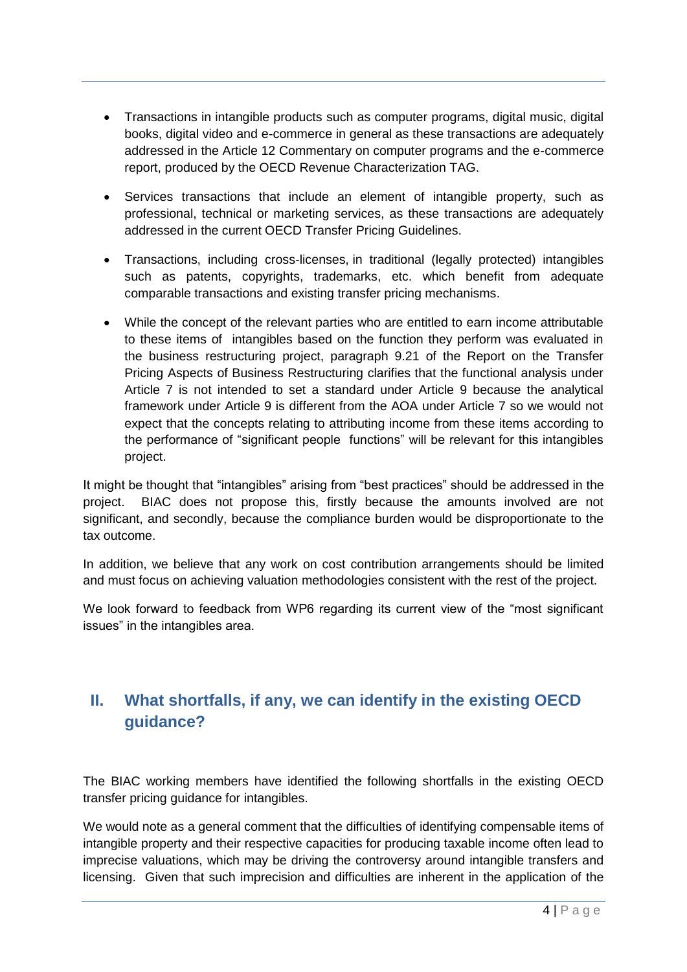- Transactions in intangible products such as computer programs, digital music, digital books, digital video and e-commerce in general as these transactions are adequately addressed in the Article 12 Commentary on computer programs and the e-commerce report, produced by the OECD Revenue Characterization TAG.
- Services transactions that include an element of intangible property, such as professional, technical or marketing services, as these transactions are adequately addressed in the current OECD Transfer Pricing Guidelines.
- Transactions, including cross-licenses, in traditional (legally protected) intangibles such as patents, copyrights, trademarks, etc. which benefit from adequate comparable transactions and existing transfer pricing mechanisms.
- While the concept of the relevant parties who are entitled to earn income attributable to these items of intangibles based on the function they perform was evaluated in the business restructuring project, paragraph 9.21 of the Report on the Transfer Pricing Aspects of Business Restructuring clarifies that the functional analysis under Article 7 is not intended to set a standard under Article 9 because the analytical framework under Article 9 is different from the AOA under Article 7 so we would not expect that the concepts relating to attributing income from these items according to the performance of "significant people functions" will be relevant for this intangibles project.

It might be thought that "intangibles" arising from "best practices" should be addressed in the project. BIAC does not propose this, firstly because the amounts involved are not significant, and secondly, because the compliance burden would be disproportionate to the tax outcome.

In addition, we believe that any work on cost contribution arrangements should be limited and must focus on achieving valuation methodologies consistent with the rest of the project.

We look forward to feedback from WP6 regarding its current view of the "most significant issues" in the intangibles area.

## **II. What shortfalls, if any, we can identify in the existing OECD guidance?**

The BIAC working members have identified the following shortfalls in the existing OECD transfer pricing guidance for intangibles.

We would note as a general comment that the difficulties of identifying compensable items of intangible property and their respective capacities for producing taxable income often lead to imprecise valuations, which may be driving the controversy around intangible transfers and licensing. Given that such imprecision and difficulties are inherent in the application of the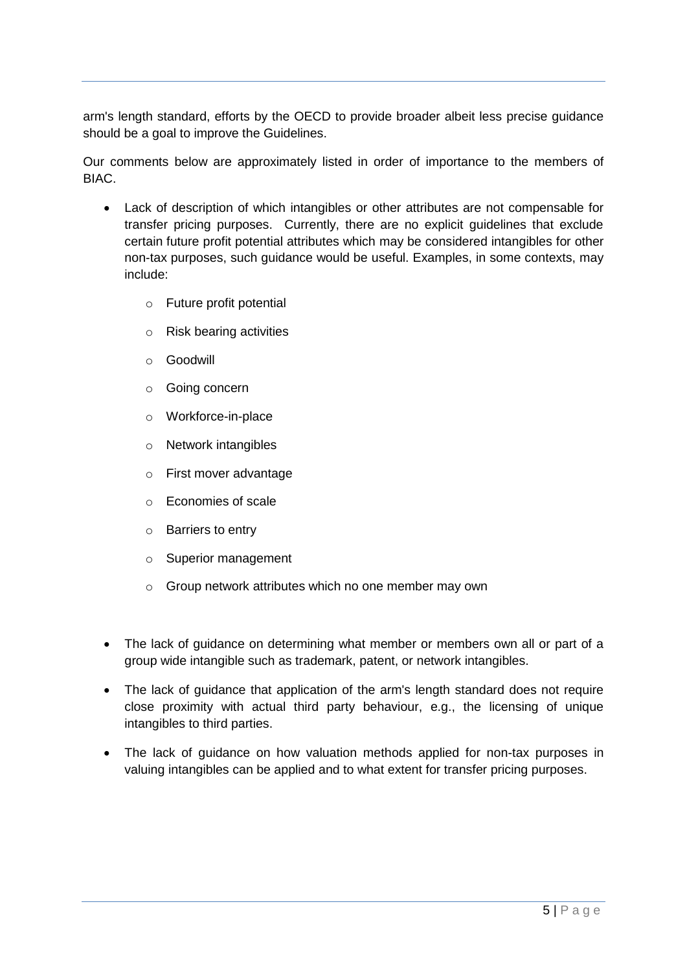arm's length standard, efforts by the OECD to provide broader albeit less precise guidance should be a goal to improve the Guidelines.

Our comments below are approximately listed in order of importance to the members of BIAC.

- Lack of description of which intangibles or other attributes are not compensable for transfer pricing purposes. Currently, there are no explicit guidelines that exclude certain future profit potential attributes which may be considered intangibles for other non-tax purposes, such guidance would be useful. Examples, in some contexts, may include:
	- o Future profit potential
	- o Risk bearing activities
	- o Goodwill
	- o Going concern
	- o Workforce-in-place
	- o Network intangibles
	- o First mover advantage
	- o Economies of scale
	- o Barriers to entry
	- o Superior management
	- o Group network attributes which no one member may own
- The lack of guidance on determining what member or members own all or part of a group wide intangible such as trademark, patent, or network intangibles.
- The lack of quidance that application of the arm's length standard does not require close proximity with actual third party behaviour, e.g., the licensing of unique intangibles to third parties.
- The lack of guidance on how valuation methods applied for non-tax purposes in valuing intangibles can be applied and to what extent for transfer pricing purposes.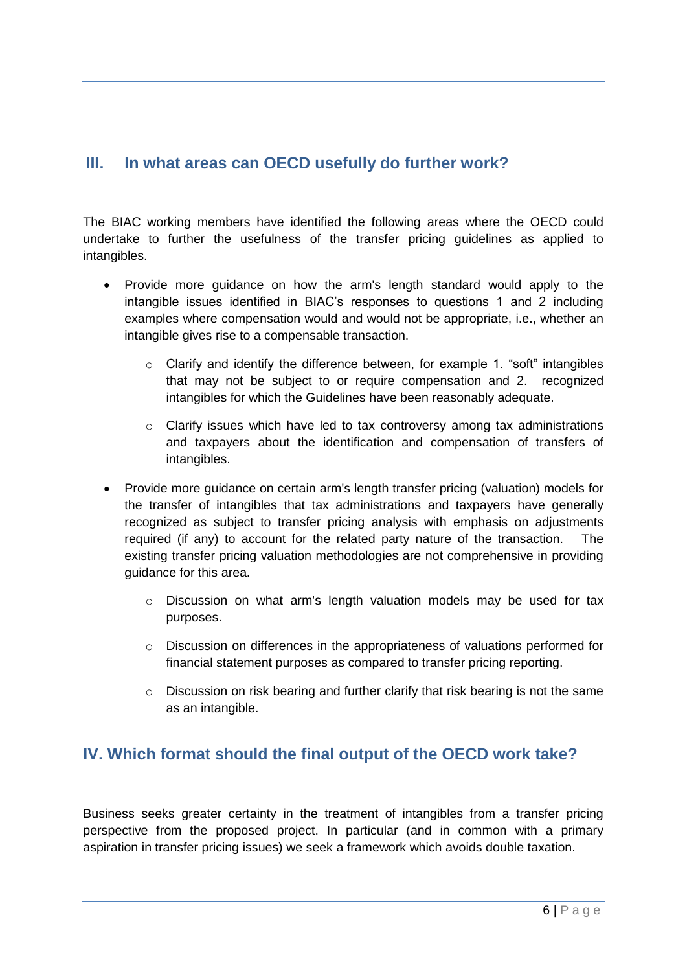#### **III. In what areas can OECD usefully do further work?**

The BIAC working members have identified the following areas where the OECD could undertake to further the usefulness of the transfer pricing guidelines as applied to intangibles.

- Provide more quidance on how the arm's length standard would apply to the intangible issues identified in BIAC's responses to questions 1 and 2 including examples where compensation would and would not be appropriate, i.e., whether an intangible gives rise to a compensable transaction.
	- $\circ$  Clarify and identify the difference between, for example 1. "soft" intangibles that may not be subject to or require compensation and 2. recognized intangibles for which the Guidelines have been reasonably adequate.
	- $\circ$  Clarify issues which have led to tax controversy among tax administrations and taxpayers about the identification and compensation of transfers of intangibles.
- Provide more guidance on certain arm's length transfer pricing (valuation) models for the transfer of intangibles that tax administrations and taxpayers have generally recognized as subject to transfer pricing analysis with emphasis on adjustments required (if any) to account for the related party nature of the transaction. The existing transfer pricing valuation methodologies are not comprehensive in providing guidance for this area.
	- o Discussion on what arm's length valuation models may be used for tax purposes.
	- o Discussion on differences in the appropriateness of valuations performed for financial statement purposes as compared to transfer pricing reporting.
	- o Discussion on risk bearing and further clarify that risk bearing is not the same as an intangible.

#### **IV. Which format should the final output of the OECD work take?**

Business seeks greater certainty in the treatment of intangibles from a transfer pricing perspective from the proposed project. In particular (and in common with a primary aspiration in transfer pricing issues) we seek a framework which avoids double taxation.